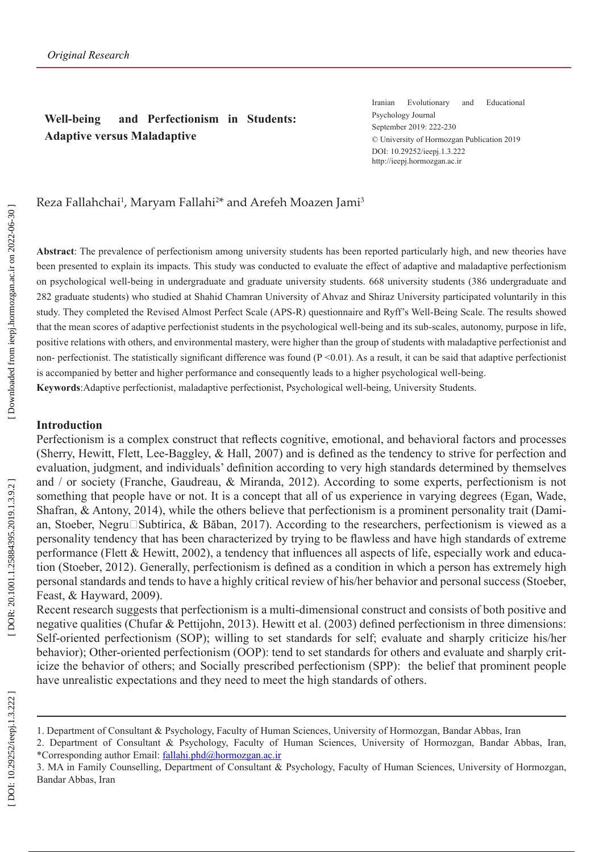## **Well-being and Perfectionism in Students: Adaptive versus Maladaptive**

Iranian Evolutionary and Educational Psychology Journal September 2019: 222-230 © University of Hormozgan Publication 2019 DOI: 10.29252/ieepj.1.3.222 http://ieepj.hormozgan.ac.ir

### Reza Fallahchai<sup>1</sup>, Maryam Fallahi<sup>2\*</sup> and Arefeh Moazen Jami<sup>3</sup>

**Abstract**: The prevalence of perfectionism among university students has been reported particularly high, and new theories have been presented to explain its impacts. This study was conducted to evaluate the effect of adaptive and maladaptive perfectionism on psychological well-being in undergraduate and graduate university students. 668 university students (386 undergraduate and 282 graduate students) who studied at Shahid Chamran University of Ahvaz and Shiraz University participated voluntarily in this study. They completed the Revised Almost Perfect Scale (APS-R) questionnaire and Ryff's Well-Being Scale. The results showed that the mean scores of adaptive perfectionist students in the psychological well-being and its sub-scales, autonomy, purpose in life, positive relations with others, and environmental mastery, were higher than the group of students with maladaptive perfectionist and non- perfectionist. The statistically significant difference was found  $(P \le 0.01)$ . As a result, it can be said that adaptive perfectionist is accompanied by better and higher performance and consequently leads to a higher psychological well-being. **Keywords**:Adaptive perfectionist, maladaptive perfectionist, Psychological well-being, University Students.

#### **Introduction**

Perfectionism is a complex construct that reflects cognitive, emotional, and behavioral factors and processes (Sherry, Hewitt, Flett, Lee-Baggley, & Hall, 2007) and is defined as the tendency to strive for perfection and evaluation, judgment, and individuals' definition according to very high standards determined by themselves and / or society (Franche, Gaudreau, & Miranda, 2012). According to some experts, perfectionism is not something that people have or not. It is a concept that all of us experience in varying degrees (Egan, Wade, Shafran, & Antony, 2014), while the others believe that perfectionism is a prominent personality trait (Dami an, Stoeber, Negru $\square$ Subtirica, & Băban, 2017). According to the researchers, perfectionism is viewed as a personality tendency that has been characterized by trying to be flawless and have high standards of extreme performance (Flett & Hewitt, 2002), a tendency that influences all aspects of life, especially work and educa tion (Stoeber, 2012). Generally, perfectionism is defined as a condition in which a person has extremely high personal standards and tends to have a highly critical review of his/her behavior and personal success (Stoeber, Feast, & Hayward, 2009).

Recent research suggests that perfectionism is a multi-dimensional construct and consists of both positive and negative qualities (Chufar & Pettijohn, 2013). Hewitt et al. (2003) defined perfectionism in three dimensions: Self-oriented perfectionism (SOP); willing to set standards for self; evaluate and sharply criticize his/her behavior); Other-oriented perfectionism (OOP): tend to set standards for others and evaluate and sharply crit icize the behavior of others; and Socially prescribed perfectionism (SPP): the belief that prominent people have unrealistic expectations and they need to meet the high standards of others.

<sup>1.</sup> Department of Consultant & Psychology, Faculty of Human Sciences, University of Hormozgan, Bandar Abbas, Iran

<sup>2.</sup> Department of Consultant & Psychology, Faculty of Human Sciences, University of Hormozgan, Bandar Abbas, Iran, \*Corresponding author Email: [fallahi.phd@hormozgan.ac.ir](mailto:fallahi.phd@hormozgan.ac.ir)

<sup>3.</sup> MA in Family Counselling, Department of Consultant & Psychology, Faculty of Human Sciences, University of Hormozgan, Bandar Abbas, Iran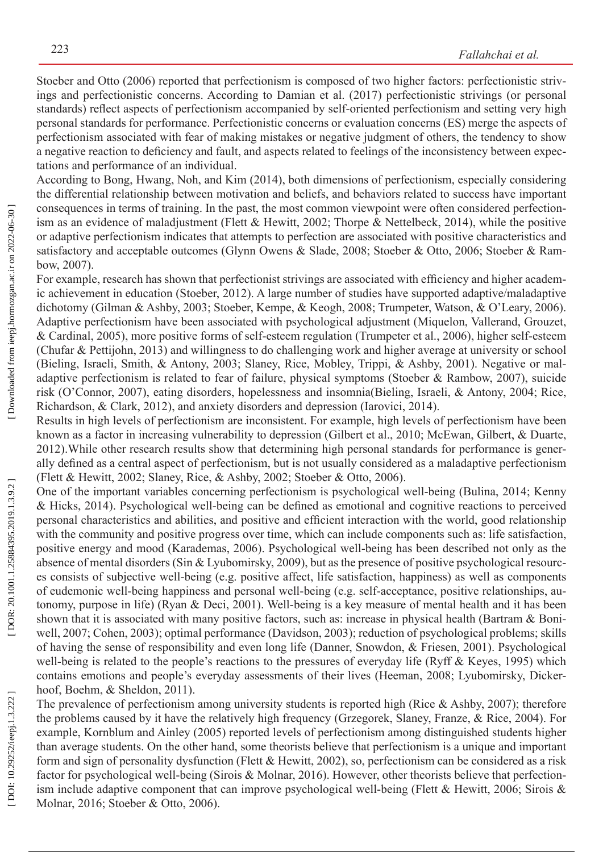Stoeber and Otto (2006) reported that perfectionism is composed of two higher factors: perfectionistic striv ings and perfectionistic concerns. According to Damian et al. (2017) perfectionistic strivings (or personal standards) reflect aspects of perfectionism accompanied by self-oriented perfectionism and setting very high personal standards for performance. Perfectionistic concerns or evaluation concerns (ES) merge the aspects of perfectionism associated with fear of making mistakes or negative judgment of others, the tendency to show a negative reaction to deficiency and fault, and aspects related to feelings of the inconsistency between expec tations and performance of an individual.

According to Bong, Hwang, Noh, and Kim (2014), both dimensions of perfectionism, especially considering the differential relationship between motivation and beliefs, and behaviors related to success have important consequences in terms of training. In the past, the most common viewpoint were often considered perfection ism as an evidence of maladjustment (Flett & Hewitt, 2002; Thorpe & Nettelbeck, 2014), while the positive or adaptive perfectionism indicates that attempts to perfection are associated with positive characteristics and satisfactory and acceptable outcomes (Glynn Owens & Slade, 2008; Stoeber & Otto, 2006; Stoeber & Rambow, 2007).

For example, research has shown that perfectionist strivings are associated with efficiency and higher academ ic achievement in education (Stoeber, 2012). A large number of studies have supported adaptive/maladaptive dichotomy (Gilman & Ashby, 2003; Stoeber, Kempe, & Keogh, 2008; Trumpeter, Watson, & O'Leary, 2006). Adaptive perfectionism have been associated with psychological adjustment (Miquelon, Vallerand, Grouzet, & Cardinal, 2005), more positive forms of self-esteem regulation (Trumpeter et al., 2006), higher self-esteem (Chufar & Pettijohn, 2013) and willingness to do challenging work and higher average at university or school (Bieling, Israeli, Smith, & Antony, 2003; Slaney, Rice, Mobley, Trippi, & Ashby, 2001). Negative or mal adaptive perfectionism is related to fear of failure, physical symptoms (Stoeber & Rambow, 2007), suicide risk (O'Connor, 2007), eating disorders, hopelessness and insomnia(Bieling, Israeli, & Antony, 2004; Rice, Richardson, & Clark, 2012), and anxiety disorders and depression (Iarovici, 2014).

Results in high levels of perfectionism are inconsistent. For example, high levels of perfectionism have been known as a factor in increasing vulnerability to depression (Gilbert et al., 2010; McEwan, Gilbert, & Duarte, 2012).While other research results show that determining high personal standards for performance is gener ally defined as a central aspect of perfectionism, but is not usually considered as a maladaptive perfectionism (Flett & Hewitt, 2002; Slaney, Rice, & Ashby, 2002; Stoeber & Otto, 2006).

One of the important variables concerning perfectionism is psychological well-being (Bulina, 2014; Kenny & Hicks, 2014). Psychological well-being can be defined as emotional and cognitive reactions to perceived personal characteristics and abilities, and positive and efficient interaction with the world, good relationship with the community and positive progress over time, which can include components such as: life satisfaction, positive energy and mood (Karademas, 2006). Psychological well-being has been described not only as the absence of mental disorders (Sin & Lyubomirsky, 2009), but as the presence of positive psychological resources consists of subjective well-being (e.g. positive affect, life satisfaction, happiness) as well as components of eudemonic well-being happiness and personal well-being (e.g. self-acceptance, positive relationships, au tonomy, purpose in life) (Ryan & Deci, 2001). Well-being is a key measure of mental health and it has been shown that it is associated with many positive factors, such as: increase in physical health (Bartram & Boniwell, 2007; Cohen, 2003); optimal performance (Davidson, 2003); reduction of psychological problems; skills of having the sense of responsibility and even long life (Danner, Snowdon, & Friesen, 2001). Psychological well-being is related to the people's reactions to the pressures of everyday life (Ryff & Keyes, 1995) which contains emotions and people's everyday assessments of their lives (Heeman, 2008; Lyubomirsky, Dicker hoof, Boehm, & Sheldon, 2011).

The prevalence of perfectionism among university students is reported high (Rice & Ashby, 2007); therefore the problems caused by it have the relatively high frequency (Grzegorek, Slaney, Franze, & Rice, 2004). For example, Kornblum and Ainley (2005) reported levels of perfectionism among distinguished students higher than average students. On the other hand, some theorists believe that perfectionism is a unique and important form and sign of personality dysfunction (Flett & Hewitt, 2002), so, perfectionism can be considered as a risk factor for psychological well-being (Sirois & Molnar, 2016). However, other theorists believe that perfectionism include adaptive component that can improve psychological well-being (Flett & Hewitt, 2006; Sirois & Molnar, 2016; Stoeber & Otto, 2006).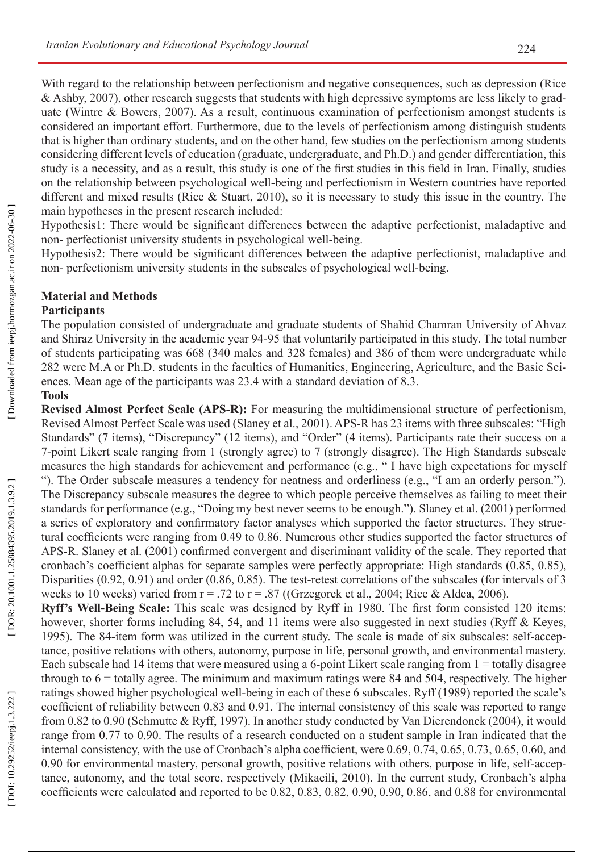With regard to the relationship between perfectionism and negative consequences, such as depression (Rice & Ashby, 2007), other research suggests that students with high depressive symptoms are less likely to grad uate (Wintre & Bowers, 2007). As a result, continuous examination of perfectionism amongst students is considered an important effort. Furthermore, due to the levels of perfectionism among distinguish students that is higher than ordinary students, and on the other hand, few studies on the perfectionism among students considering different levels of education (graduate, undergraduate, and Ph.D.) and gender differentiation, this study is a necessity, and as a result, this study is one of the first studies in this field in Iran. Finally, studies on the relationship between psychological well-being and perfectionism in Western countries have reported different and mixed results (Rice & Stuart, 2010), so it is necessary to study this issue in the country. The main hypotheses in the present research included:

Hypothesis1: There would be significant differences between the adaptive perfectionist, maladaptive and non- perfectionist university students in psychological well-being.

Hypothesis2: There would be significant differences between the adaptive perfectionist, maladaptive and non- perfectionism university students in the subscales of psychological well-being.

# **Material and Methods**

### **Participants**

The population consisted of undergraduate and graduate students of Shahid Chamran University of Ahvaz and Shiraz University in the academic year 94-95 that voluntarily participated in this study. The total number of students participating was 668 (340 males and 328 females) and 386 of them were undergraduate while 282 were M.A or Ph.D. students in the faculties of Humanities, Engineering, Agriculture, and the Basic Sci ences. Mean age of the participants was 23.4 with a standard deviation of 8.3.

#### **Tools**

**Revised Almost Perfect Scale (APS-R):** For measuring the multidimensional structure of perfectionism, Revised Almost Perfect Scale was used (Slaney et al., 2001). APS-R has 23 items with three subscales: "High Standards" (7 items), "Discrepancy" (12 items), and "Order" (4 items). Participants rate their success on a 7-point Likert scale ranging from 1 (strongly agree) to 7 (strongly disagree). The High Standards subscale measures the high standards for achievement and performance (e.g., " I have high expectations for myself "). The Order subscale measures a tendency for neatness and orderliness (e.g., "I am an orderly person."). The Discrepancy subscale measures the degree to which people perceive themselves as failing to meet their standards for performance (e.g., "Doing my best never seems to be enough."). Slaney et al. (2001) performed a series of exploratory and confirmatory factor analyses which supported the factor structures. They struc tural coefficients were ranging from 0.49 to 0.86. Numerous other studies supported the factor structures of APS-R. Slaney et al. (2001) confirmed convergent and discriminant validity of the scale. They reported that cronbach's coefficient alphas for separate samples were perfectly appropriate: High standards (0.85, 0.85), Disparities (0.92, 0.91) and order (0.86, 0.85). The test-retest correlations of the subscales (for intervals of 3 weeks to 10 weeks) varied from  $r = .72$  to  $r = .87$  ((Grzegorek et al., 2004; Rice & Aldea, 2006).

**Ryff's Well-Being Scale:** This scale was designed by Ryff in 1980. The first form consisted 120 items; however, shorter forms including 84, 54, and 11 items were also suggested in next studies (Ryff & Keyes, 1995). The 84-item form was utilized in the current study. The scale is made of six subscales: self-accep tance, positive relations with others, autonomy, purpose in life, personal growth, and environmental mastery. Each subscale had 14 items that were measured using a 6-point Likert scale ranging from 1 = totally disagree through to  $6 =$  totally agree. The minimum and maximum ratings were 84 and 504, respectively. The higher ratings showed higher psychological well-being in each of these 6 subscales. Ryff (1989) reported the scale's coefficient of reliability between 0.83 and 0.91. The internal consistency of this scale was reported to range from 0.82 to 0.90 (Schmutte & Ryff, 1997). In another study conducted by Van Dierendonck (2004), it would range from 0.77 to 0.90. The results of a research conducted on a student sample in Iran indicated that the internal consistency, with the use of Cronbach's alpha coefficient, were 0.69, 0.74, 0.65, 0.73, 0.65, 0.60, and 0.90 for environmental mastery, personal growth, positive relations with others, purpose in life, self-accep tance, autonomy, and the total score, respectively (Mikaeili, 2010). In the current study, Cronbach's alpha coefficients were calculated and reported to be 0.82, 0.83, 0.82, 0.90, 0.90, 0.86, and 0.88 for environmental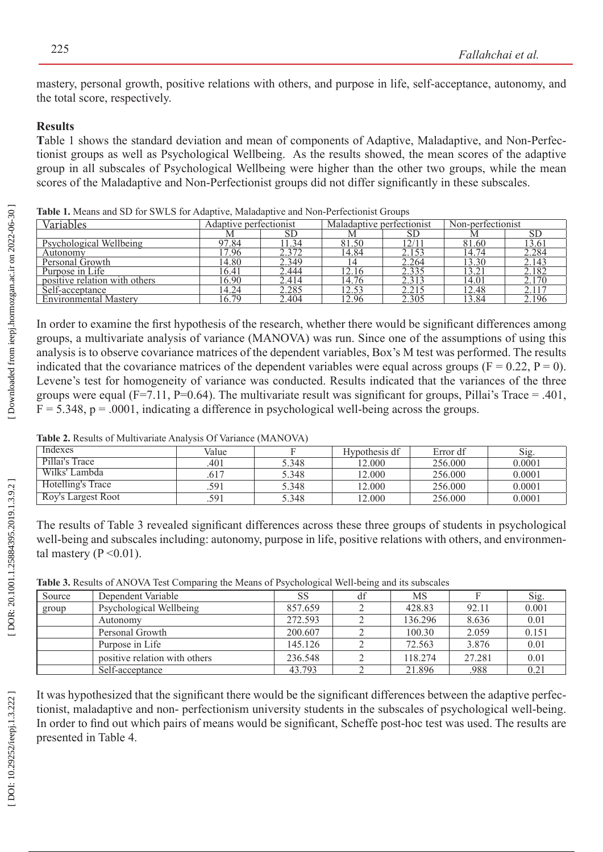mastery, personal growth, positive relations with others, and purpose in life, self-acceptance, autonomy, and the total score, respectively.

## **Results**

Table 1 shows the standard deviation and mean of components of Adaptive, Maladaptive, and Non-Perfectionist groups as well as Psychological Wellbeing. As the results showed, the mean scores of the adaptive group in all subscales of Psychological Wellbeing were higher than the other two groups, while the mean scores of the Maladaptive and Non-Perfectionist groups did not differ significantly in these subscales.

| Variables                     | Adaptive perfectionist |       | Maladaptive perfectionist |                  | Non-perfectionist |           |
|-------------------------------|------------------------|-------|---------------------------|------------------|-------------------|-----------|
|                               |                        | SD    | М                         | SD               |                   | <b>SD</b> |
| Psychological Wellbeing       | 97.84                  | 1.34  | 81.50                     | $\left 2\right $ | 81.60             | 13.61     |
| Autonomy                      | 7.96                   | 2.372 | 14.84                     | 2.153            | 14.74             | 2.284     |
| Personal Growth               | 14.80                  | 2.349 |                           | 2.264            | 13.30             | 2.143     |
| Purpose in Life               | 16.41                  | 2.444 | 12.16                     | 2.335            | 3.21              | 2.182     |
| positive relation with others | 16.90                  | 2.414 | 14.76                     | 2.313            | 14.01             | 2.170     |
| Self-acceptance               | 14.24                  | 2.285 | 12.53                     | 2.215            | 12.48             | 2.117     |
| <b>Environmental Mastery</b>  | 16.79                  | 2.404 | 12.96                     | 2.305            | 3.84              | 2.196     |

**Table 1.** Means and SD for SWLS for Adaptive, Maladaptive and Non-Perfectionist Groups

In order to examine the first hypothesis of the research, whether there would be significant differences among groups, a multivariate analysis of variance (MANOVA) was run. Since one of the assumptions of using this analysis is to observe covariance matrices of the dependent variables, Box's M test was performed. The results indicated that the covariance matrices of the dependent variables were equal across groups ( $F = 0.22$ ,  $P = 0$ ). Levene's test for homogeneity of variance was conducted. Results indicated that the variances of the three groups were equal (F=7.11, P=0.64). The multivariate result was significant for groups, Pillai's Trace = .401,  $F = 5.348$ ,  $p = .0001$ , indicating a difference in psychological well-being across the groups.

**Table 2.** Results of Multivariate Analysis Of Variance (MANOVA)

| Indexes            | Value |       | Hypothesis df | Error df | Sig.   |
|--------------------|-------|-------|---------------|----------|--------|
| Pillai's Trace     | .401  | 5.348 | 12.000        | 256.000  | 0.0001 |
| Wilks' Lambda      | .617  | 5.348 | 12.000        | 256,000  | 0.0001 |
| Hotelling's Trace  | 591   | 5.348 | 12.000        | 256.000  | 0.0001 |
| Roy's Largest Root | 591   | 5.348 | 12.000        | 256.000  | 0.0001 |

The results of Table 3 revealed significant differences across these three groups of students in psychological well-being and subscales including: autonomy, purpose in life, positive relations with others, and environmental mastery ( $P \le 0.01$ ).

**Table 3.** Results of ANOVA Test Comparing the Means of Psychological Well-being and its subscales

| Source | Dependent Variable            | SS      | df | MS      |        | Sig.  |
|--------|-------------------------------|---------|----|---------|--------|-------|
| group  | Psychological Wellbeing       | 857.659 |    | 428.83  | 92.11  | 0.001 |
|        | Autonomy                      | 272.593 |    | 136.296 | 8.636  | 0.01  |
|        | Personal Growth               | 200.607 |    | 100.30  | 2.059  | 0.151 |
|        | Purpose in Life               | 145.126 |    | 72.563  | 3.876  | 0.01  |
|        | positive relation with others | 236.548 |    | 118.274 | 27.281 | 0.01  |
|        | Self-acceptance               | 43.793  |    | 21.896  | .988   | 0.21  |

It was hypothesized that the significant there would be the significant differences between the adaptive perfec tionist, maladaptive and non- perfectionism university students in the subscales of psychological well-being. In order to find out which pairs of means would be significant, Scheffe post-hoc test was used. The results are presented in Table 4.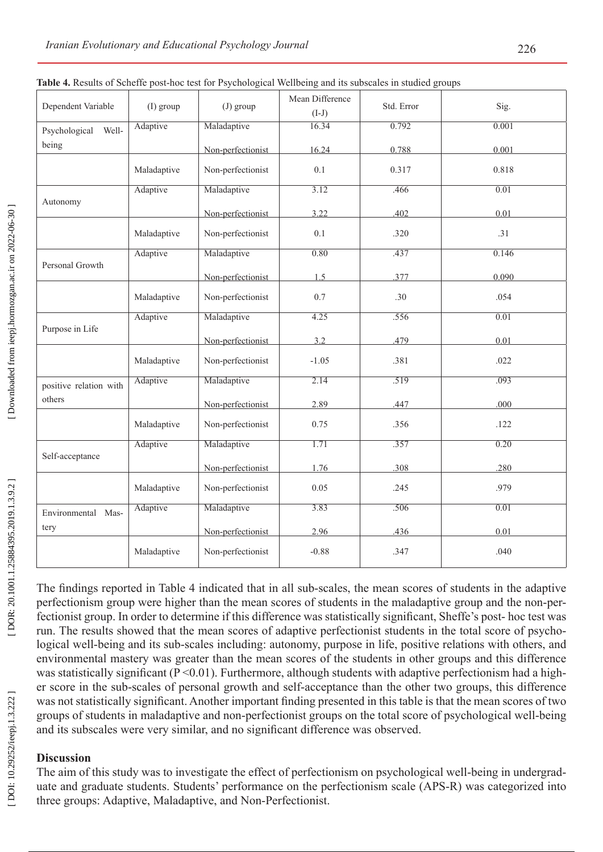| Dependent Variable              | $(I)$ group | $(J)$ group       | Mean Difference<br>$(I-J)$ | Std. Error | Sig.  |
|---------------------------------|-------------|-------------------|----------------------------|------------|-------|
| Well-<br>Psychological<br>being | Adaptive    | Maladaptive       | 16.34                      | 0.792      | 0.001 |
|                                 |             | Non-perfectionist | 16.24                      | 0.788      | 0.001 |
|                                 | Maladaptive | Non-perfectionist | 0.1                        | 0.317      | 0.818 |
| Autonomy                        | Adaptive    | Maladaptive       | 3.12                       | .466       | 0.01  |
|                                 |             | Non-perfectionist | 3.22                       | .402       | 0.01  |
|                                 | Maladaptive | Non-perfectionist | 0.1                        | .320       | .31   |
| Personal Growth                 | Adaptive    | Maladaptive       | 0.80                       | .437       | 0.146 |
|                                 |             | Non-perfectionist | 1.5                        | 377        | 0.090 |
|                                 | Maladaptive | Non-perfectionist | 0.7                        | .30        | .054  |
|                                 | Adaptive    | Maladaptive       | 4.25                       | .556       | 0.01  |
| Purpose in Life                 |             | Non-perfectionist | 3.2                        | .479       | 0.01  |
|                                 | Maladaptive | Non-perfectionist | $-1.05$                    | .381       | .022  |
| positive relation with          | Adaptive    | Maladaptive       | 2.14                       | .519       | .093  |
| others                          |             | Non-perfectionist | 2.89                       | .447       | .000  |
|                                 | Maladaptive | Non-perfectionist | 0.75                       | .356       | .122  |
|                                 | Adaptive    | Maladaptive       | 1.71                       | .357       | 0.20  |
| Self-acceptance                 |             | Non-perfectionist | 1.76                       | 308        | 280   |
|                                 | Maladaptive | Non-perfectionist | 0.05                       | .245       | .979  |
| Environmental Mas-              | Adaptive    | Maladaptive       | 3.83                       | .506       | 0.01  |
| tery                            |             | Non-perfectionist | 2.96                       | .436       | 0.01  |
|                                 | Maladaptive | Non-perfectionist | $-0.88$                    | .347       | .040  |

|  | Table 4. Results of Scheffe post-hoc test for Psychological Wellbeing and its subscales in studied groups |
|--|-----------------------------------------------------------------------------------------------------------|

The findings reported in Table 4 indicated that in all sub-scales, the mean scores of students in the adaptive perfectionism group were higher than the mean scores of students in the maladaptive group and the non-per fectionist group. In order to determine if this difference was statistically significant, Sheffe's post- hoc test was run. The results showed that the mean scores of adaptive perfectionist students in the total score of psycho logical well-being and its sub-scales including: autonomy, purpose in life, positive relations with others, and environmental mastery was greater than the mean scores of the students in other groups and this difference was statistically significant (P < 0.01). Furthermore, although students with adaptive perfectionism had a higher score in the sub-scales of personal growth and self-acceptance than the other two groups, this difference was not statistically significant. Another important finding presented in this table is that the mean scores of two groups of students in maladaptive and non-perfectionist groups on the total score of psychological well-being and its subscales were very similar, and no significant difference was observed.

### **Discussion**

The aim of this study was to investigate the effect of perfectionism on psychological well-being in undergrad uate and graduate students. Students' performance on the perfectionism scale (APS-R) was categorized into three groups: Adaptive, Maladaptive, and Non-Perfectionist.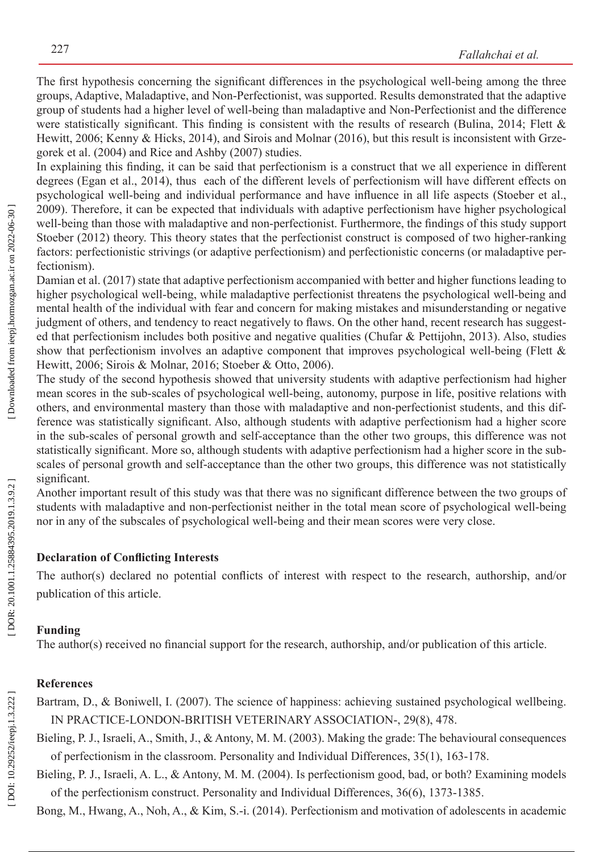The first hypothesis concerning the significant differences in the psychological well-being among the three groups, Adaptive, Maladaptive, and Non-Perfectionist, was supported. Results demonstrated that the adaptive group of students had a higher level of well-being than maladaptive and Non-Perfectionist and the difference were statistically significant. This finding is consistent with the results of research (Bulina, 2014; Flett & Hewitt, 2006; Kenny & Hicks, 2014), and Sirois and Molnar (2016), but this result is inconsistent with Grze gorek et al. (2004) and Rice and Ashby (2007) studies.

In explaining this finding, it can be said that perfectionism is a construct that we all experience in different degrees (Egan et al., 2014), thus each of the different levels of perfectionism will have different effects on psychological well-being and individual performance and have influence in all life aspects (Stoeber et al., 2009). Therefore, it can be expected that individuals with adaptive perfectionism have higher psychological well-being than those with maladaptive and non-perfectionist. Furthermore, the findings of this study support Stoeber (2012) theory. This theory states that the perfectionist construct is composed of two higher-ranking factors: perfectionistic strivings (or adaptive perfectionism) and perfectionistic concerns (or maladaptive perfectionism).

Damian et al. (2017) state that adaptive perfectionism accompanied with better and higher functions leading to higher psychological well-being, while maladaptive perfectionist threatens the psychological well-being and mental health of the individual with fear and concern for making mistakes and misunderstanding or negative judgment of others, and tendency to react negatively to flaws. On the other hand, recent research has suggested that perfectionism includes both positive and negative qualities (Chufar & Pettijohn, 2013). Also, studies show that perfectionism involves an adaptive component that improves psychological well-being (Flett & Hewitt, 2006; Sirois & Molnar, 2016; Stoeber & Otto, 2006).

The study of the second hypothesis showed that university students with adaptive perfectionism had higher mean scores in the sub-scales of psychological well-being, autonomy, purpose in life, positive relations with others, and environmental mastery than those with maladaptive and non-perfectionist students, and this difference was statistically significant. Also, although students with adaptive perfectionism had a higher score in the sub-scales of personal growth and self-acceptance than the other two groups, this difference was not statistically significant. More so, although students with adaptive perfectionism had a higher score in the subscales of personal growth and self-acceptance than the other two groups, this difference was not statistically significant.

Another important result of this study was that there was no significant difference between the two groups of students with maladaptive and non-perfectionist neither in the total mean score of psychological well-being nor in any of the subscales of psychological well-being and their mean scores were very close.

#### **Declaration of Conflicting Interests**

The author(s) declared no potential conflicts of interest with respect to the research, authorship, and/or publication of this article.

#### **Funding**

The author(s) received no financial support for the research, authorship, and/or publication of this article.

### **References**

Bartram, D., & Boniwell, I. (2007). The science of happiness: achieving sustained psychological wellbeing. IN PRACTICE-LONDON-BRITISH VETERINARY ASSOCIATION-, 29(8), 478.

Bieling, P. J., Israeli, A., Smith, J., & Antony, M. M. (2003). Making the grade: The behavioural consequences of perfectionism in the classroom. Personality and Individual Differences, 35(1), 163-178.

Bieling, P. J., Israeli, A. L., & Antony, M. M. (2004). Is perfectionism good, bad, or both? Examining models of the perfectionism construct. Personality and Individual Differences, 36(6), 1373-1385.

Bong, M., Hwang, A., Noh, A., & Kim, S.-i. (2014). Perfectionism and motivation of adolescents in academic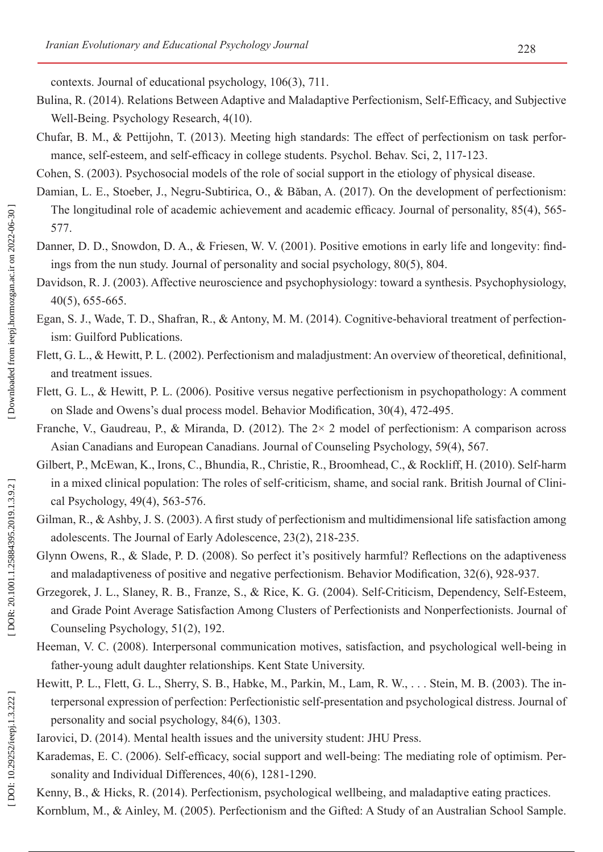contexts. Journal of educational psychology, 106(3), 711.

- Bulina, R. (2014). Relations Between Adaptive and Maladaptive Perfectionism, Self-Efficacy, and Subjective Well-Being. Psychology Research, 4(10).
- Chufar, B. M., & Pettijohn, T. (2013). Meeting high standards: The effect of perfectionism on task perfor mance, self-esteem, and self-efficacy in college students. Psychol. Behav. Sci, 2, 117-123.

Cohen, S. (2003). Psychosocial models of the role of social support in the etiology of physical disease.

- Damian, L. E., Stoeber, J., Negru-Subtirica, O., & Băban, A. (2017). On the development of perfectionism: The longitudinal role of academic achievement and academic efficacy. Journal of personality, 85(4), 565- 577.
- Danner, D. D., Snowdon, D. A., & Friesen, W. V. (2001). Positive emotions in early life and longevity: findings from the nun study. Journal of personality and social psychology, 80(5), 804.
- Davidson, R. J. (2003). Affective neuroscience and psychophysiology: toward a synthesis. Psychophysiology, 40(5), 655-665.
- Egan, S. J., Wade, T. D., Shafran, R., & Antony, M. M. (2014). Cognitive-behavioral treatment of perfectionism: Guilford Publications.
- Flett, G. L., & Hewitt, P. L. (2002). Perfectionism and maladjustment: An overview of theoretical, definitional, and treatment issues.
- Flett, G. L., & Hewitt, P. L. (2006). Positive versus negative perfectionism in psychopathology: A comment on Slade and Owens's dual process model. Behavior Modification, 30(4), 472-495.
- Franche, V., Gaudreau, P., & Miranda, D. (2012). The 2× 2 model of perfectionism: A comparison across Asian Canadians and European Canadians. Journal of Counseling Psychology, 59(4), 567.
- Gilbert, P., McEwan, K., Irons, C., Bhundia, R., Christie, R., Broomhead, C., & Rockliff, H. (2010). Self-harm in a mixed clinical population: The roles of self-criticism, shame, and social rank. British Journal of Clini cal Psychology, 49(4), 563-576.
- Gilman, R., & Ashby, J. S. (2003). A first study of perfectionism and multidimensional life satisfaction among adolescents. The Journal of Early Adolescence, 23(2), 218-235.
- Glynn Owens, R., & Slade, P. D. (2008). So perfect it's positively harmful? Reflections on the adaptiveness and maladaptiveness of positive and negative perfectionism. Behavior Modification, 32(6), 928-937.
- Grzegorek, J. L., Slaney, R. B., Franze, S., & Rice, K. G. (2004). Self-Criticism, Dependency, Self-Esteem, and Grade Point Average Satisfaction Among Clusters of Perfectionists and Nonperfectionists. Journal of Counseling Psychology, 51(2), 192.
- Heeman, V. C. (2008). Interpersonal communication motives, satisfaction, and psychological well-being in father-young adult daughter relationships. Kent State University.
- Hewitt, P. L., Flett, G. L., Sherry, S. B., Habke, M., Parkin, M., Lam, R. W., . . . Stein, M. B. (2003). The in terpersonal expression of perfection: Perfectionistic self-presentation and psychological distress. Journal of personality and social psychology, 84(6), 1303.
- Iarovici, D. (2014). Mental health issues and the university student: JHU Press.
- Karademas, E. C. (2006). Self-efficacy, social support and well-being: The mediating role of optimism. Per sonality and Individual Differences, 40(6), 1281-1290.
- Kenny, B., & Hicks, R. (2014). Perfectionism, psychological wellbeing, and maladaptive eating practices.
- Kornblum, M., & Ainley, M. (2005). Perfectionism and the Gifted: A Study of an Australian School Sample.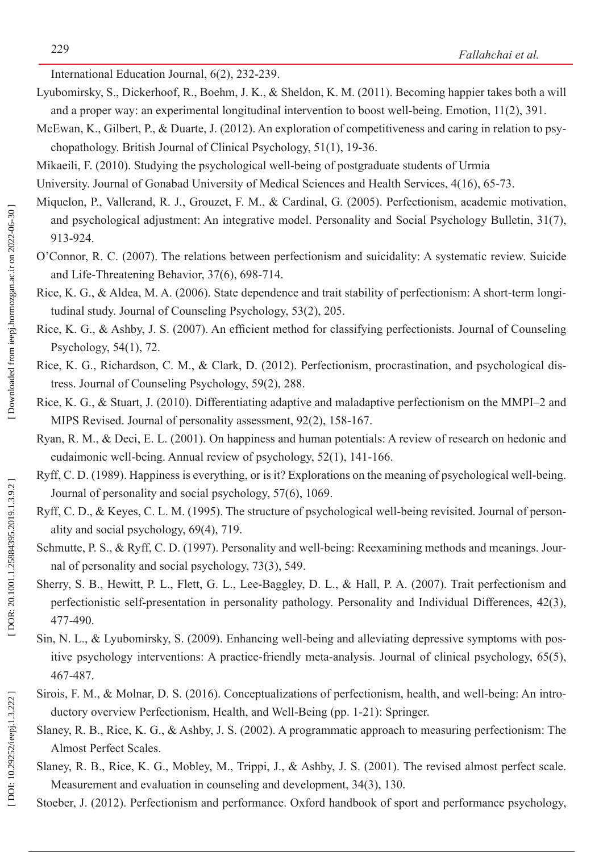International Education Journal, 6(2), 232-239.

- Lyubomirsky, S., Dickerhoof, R., Boehm, J. K., & Sheldon, K. M. (2011). Becoming happier takes both a will and a proper way: an experimental longitudinal intervention to boost well-being. Emotion, 11(2), 391.
- McEwan, K., Gilbert, P., & Duarte, J. (2012). An exploration of competitiveness and caring in relation to psychopathology. British Journal of Clinical Psychology, 51(1), 19-36.
- Mikaeili, F. (2010). Studying the psychological well-being of postgraduate students of Urmia

University. Journal of Gonabad University of Medical Sciences and Health Services, 4(16), 65-73.

- Miquelon, P., Vallerand, R. J., Grouzet, F. M., & Cardinal, G. (2005). Perfectionism, academic motivation, and psychological adjustment: An integrative model. Personality and Social Psychology Bulletin, 31(7), 913-924.
- O'Connor, R. C. (2007). The relations between perfectionism and suicidality: A systematic review. Suicide and Life-Threatening Behavior, 37(6), 698-714.
- Rice, K. G., & Aldea, M. A. (2006). State dependence and trait stability of perfectionism: A short-term longitudinal study. Journal of Counseling Psychology, 53(2), 205.
- Rice, K. G., & Ashby, J. S. (2007). An efficient method for classifying perfectionists. Journal of Counseling Psychology, 54(1), 72.
- Rice, K. G., Richardson, C. M., & Clark, D. (2012). Perfectionism, procrastination, and psychological distress. Journal of Counseling Psychology, 59(2), 288.
- Rice, K. G., & Stuart, J. (2010). Differentiating adaptive and maladaptive perfectionism on the MMPI–2 and MIPS Revised. Journal of personality assessment, 92(2), 158-167.
- Ryan, R. M., & Deci, E. L. (2001). On happiness and human potentials: A review of research on hedonic and eudaimonic well-being. Annual review of psychology, 52(1), 141-166.
- Ryff, C. D. (1989). Happiness is everything, or is it? Explorations on the meaning of psychological well-being. Journal of personality and social psychology, 57(6), 1069.
- Ryff, C. D., & Keyes, C. L. M. (1995). The structure of psychological well-being revisited. Journal of personality and social psychology, 69(4), 719.
- Schmutte, P. S., & Ryff, C. D. (1997). Personality and well-being: Reexamining methods and meanings. Journal of personality and social psychology, 73(3), 549.
- Sherry, S. B., Hewitt, P. L., Flett, G. L., Lee-Baggley, D. L., & Hall, P. A. (2007). Trait perfectionism and perfectionistic self-presentation in personality pathology. Personality and Individual Differences, 42(3), 477-490.
- Sin, N. L., & Lyubomirsky, S. (2009). Enhancing well-being and alleviating depressive symptoms with positive psychology interventions: A practice-friendly meta-analysis. Journal of clinical psychology, 65(5), 467-487.
- Sirois, F. M., & Molnar, D. S. (2016). Conceptualizations of perfectionism, health, and well-being: An introductory overview Perfectionism, Health, and Well-Being (pp. 1-21): Springer.
- Slaney, R. B., Rice, K. G., & Ashby, J. S. (2002). A programmatic approach to measuring perfectionism: The Almost Perfect Scales.
- Slaney, R. B., Rice, K. G., Mobley, M., Trippi, J., & Ashby, J. S. (2001). The revised almost perfect scale. Measurement and evaluation in counseling and development, 34(3), 130.

Stoeber, J. (2012). Perfectionism and performance. Oxford handbook of sport and performance psychology,

DOI: 10.29252/ieepj.1.3.222